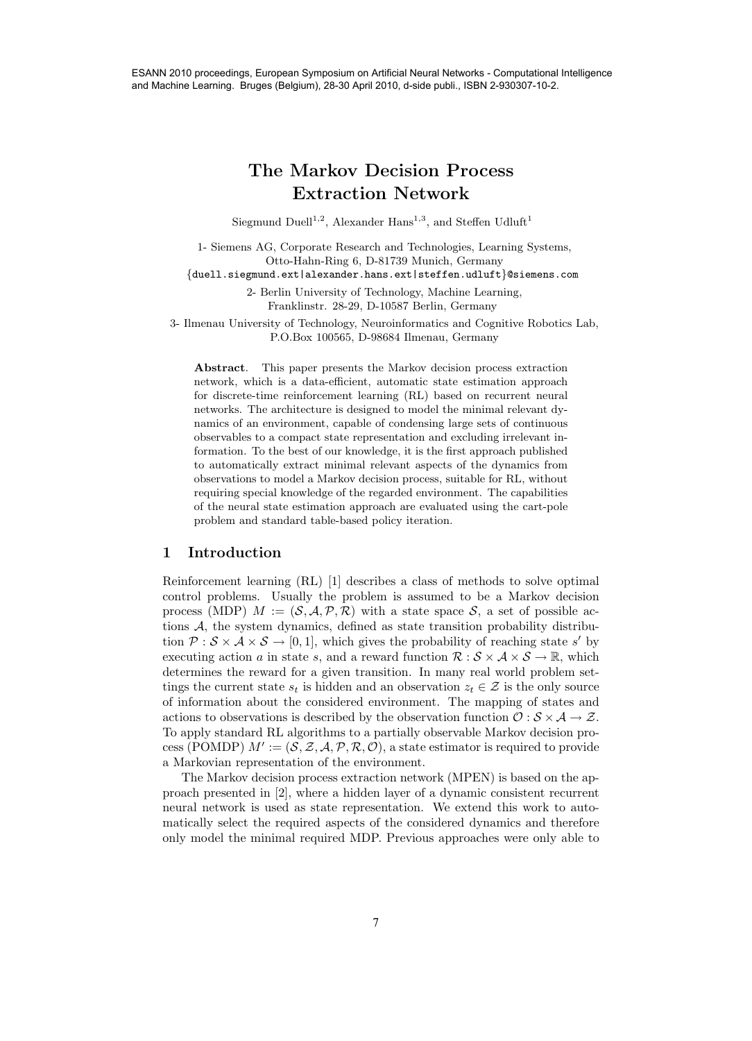# **The Markov Decision Process Extraction Network**

Siegmund Duell<sup>1,2</sup>, Alexander Hans<sup>1,3</sup>, and Steffen Udluft<sup>1</sup>

1- Siemens AG, Corporate Research and Technologies, Learning Systems, Otto-Hahn-Ring 6, D-81739 Munich, Germany

*{*duell.siegmund.ext|alexander.hans.ext|steffen.udluft*}*@siemens.com

2- Berlin University of Technology, Machine Learning, Franklinstr. 28-29, D-10587 Berlin, Germany

3- Ilmenau University of Technology, Neuroinformatics and Cognitive Robotics Lab, P.O.Box 100565, D-98684 Ilmenau, Germany

**Abstract**. This paper presents the Markov decision process extraction network, which is a data-efficient, automatic state estimation approach for discrete-time reinforcement learning (RL) based on recurrent neural networks. The architecture is designed to model the minimal relevant dynamics of an environment, capable of condensing large sets of continuous observables to a compact state representation and excluding irrelevant information. To the best of our knowledge, it is the first approach published to automatically extract minimal relevant aspects of the dynamics from observations to model a Markov decision process, suitable for RL, without requiring special knowledge of the regarded environment. The capabilities of the neural state estimation approach are evaluated using the cart-pole problem and standard table-based policy iteration.

## **1 Introduction**

Reinforcement learning (RL) [1] describes a class of methods to solve optimal control problems. Usually the problem is assumed to be a Markov decision process (MDP)  $M := (\mathcal{S}, \mathcal{A}, \mathcal{P}, \mathcal{R})$  with a state space  $\mathcal{S}$ , a set of possible actions A, the system dynamics, defined as state transition probability distribution  $\mathcal{P}: \mathcal{S} \times \mathcal{A} \times \mathcal{S} \to [0, 1]$ , which gives the probability of reaching state s' by<br>executing action g in state s- and a reward function  $\mathcal{R}: \mathcal{S} \times \mathcal{A} \times \mathcal{S} \to \mathbb{R}$  which executing action a in state s, and a reward function  $\mathcal{R}: \mathcal{S} \times \mathcal{A} \times \mathcal{S} \to \mathbb{R}$ , which determines the reward for a given transition. In many real world problem settings the current state  $s_t$  is hidden and an observation  $z_t \in \mathcal{Z}$  is the only source of information about the considered environment. The mapping of states and actions to observations is described by the observation function  $\mathcal{O}: \mathcal{S} \times \mathcal{A} \to \mathcal{Z}$ . To apply standard RL algorithms to a partially observable Markov decision process (POMDP)  $M' := (\mathcal{S}, \mathcal{Z}, \mathcal{A}, \mathcal{P}, \mathcal{R}, \mathcal{O})$ , a state estimator is required to provide<br>a Markovian representation of the environment a Markovian representation of the environment.

The Markov decision process extraction network (MPEN) is based on the approach presented in [2], where a hidden layer of a dynamic consistent recurrent neural network is used as state representation. We extend this work to automatically select the required aspects of the considered dynamics and therefore only model the minimal required MDP. Previous approaches were only able to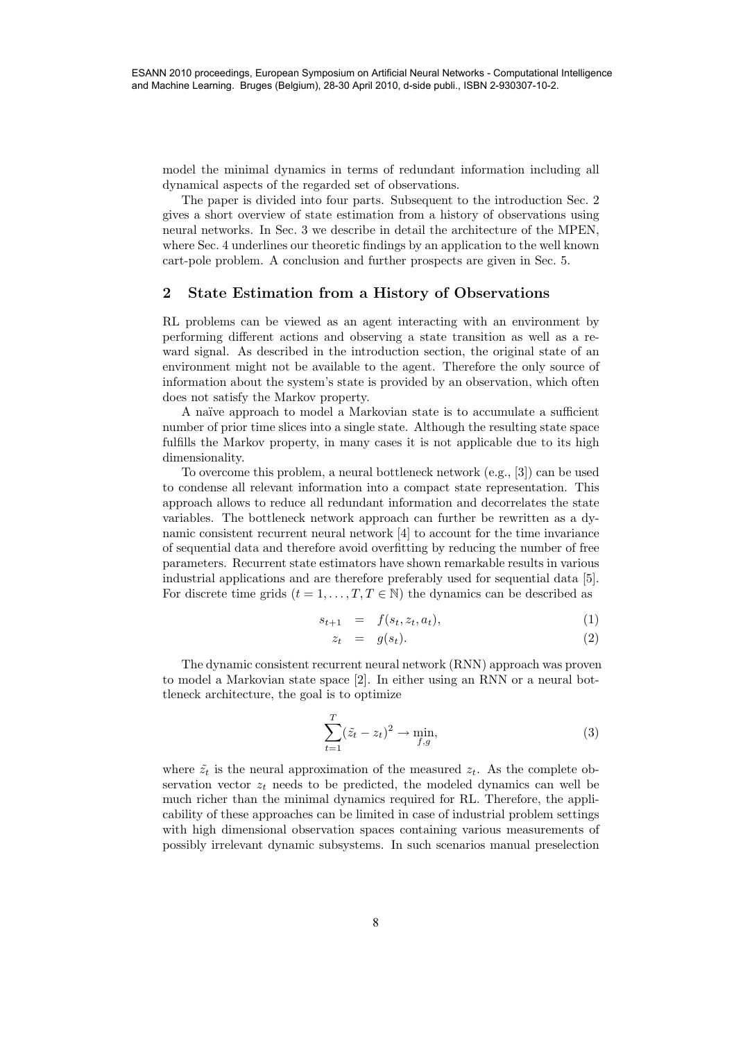model the minimal dynamics in terms of redundant information including all dynamical aspects of the regarded set of observations.

The paper is divided into four parts. Subsequent to the introduction Sec. 2 gives a short overview of state estimation from a history of observations using neural networks. In Sec. 3 we describe in detail the architecture of the MPEN, where Sec. 4 underlines our theoretic findings by an application to the well known cart-pole problem. A conclusion and further prospects are given in Sec. 5.

## **2 State Estimation from a History of Observations**

RL problems can be viewed as an agent interacting with an environment by performing different actions and observing a state transition as well as a reward signal. As described in the introduction section, the original state of an environment might not be available to the agent. Therefore the only source of information about the system's state is provided by an observation, which often does not satisfy the Markov property.

A na¨ıve approach to model a Markovian state is to accumulate a sufficient number of prior time slices into a single state. Although the resulting state space fulfills the Markov property, in many cases it is not applicable due to its high dimensionality.

To overcome this problem, a neural bottleneck network (e.g., [3]) can be used to condense all relevant information into a compact state representation. This approach allows to reduce all redundant information and decorrelates the state variables. The bottleneck network approach can further be rewritten as a dynamic consistent recurrent neural network [4] to account for the time invariance of sequential data and therefore avoid overfitting by reducing the number of free parameters. Recurrent state estimators have shown remarkable results in various industrial applications and are therefore preferably used for sequential data [5]. For discrete time grids  $(t = 1, ..., T, T \in \mathbb{N})$  the dynamics can be described as

$$
s_{t+1} = f(s_t, z_t, a_t), \tag{1}
$$

$$
z_t = g(s_t). \tag{2}
$$

The dynamic consistent recurrent neural network (RNN) approach was proven to model a Markovian state space [2]. In either using an RNN or a neural bottleneck architecture, the goal is to optimize

$$
\sum_{t=1}^{T} (\tilde{z}_t - z_t)^2 \to \min_{f,g},\tag{3}
$$

where  $\tilde{z}_t$  is the neural approximation of the measured  $z_t$ . As the complete observation vector  $z_t$  needs to be predicted, the modeled dynamics can well be much richer than the minimal dynamics required for RL. Therefore, the applicability of these approaches can be limited in case of industrial problem settings with high dimensional observation spaces containing various measurements of possibly irrelevant dynamic subsystems. In such scenarios manual preselection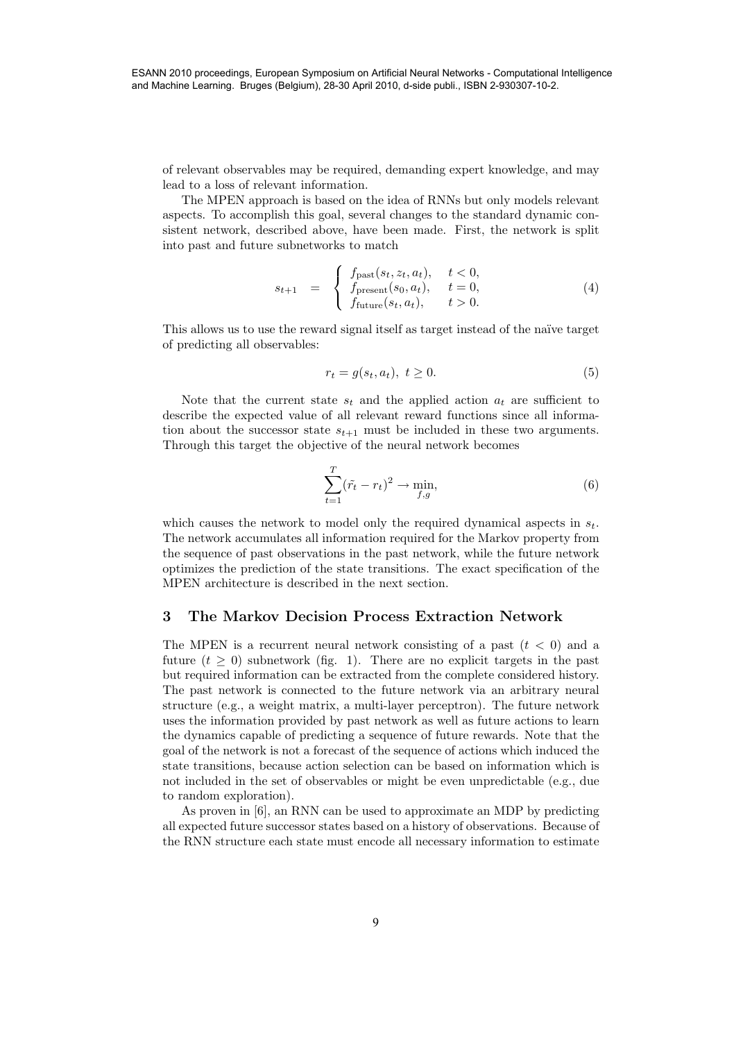ESANN 2010 proceedings, European Symposium on Artificial Neural Networks - Computational Intelligence and Machine Learning. Bruges (Belgium), 28-30 April 2010, d-side publi., ISBN 2-930307-10-2.

of relevant observables may be required, demanding expert knowledge, and may lead to a loss of relevant information.

The MPEN approach is based on the idea of RNNs but only models relevant aspects. To accomplish this goal, several changes to the standard dynamic consistent network, described above, have been made. First, the network is split into past and future subnetworks to match

$$
s_{t+1} = \begin{cases} f_{\text{past}}(s_t, z_t, a_t), & t < 0, \\ f_{\text{present}}(s_0, a_t), & t = 0, \\ f_{\text{future}}(s_t, a_t), & t > 0. \end{cases}
$$
(4)

This allows us to use the reward signal itself as target instead of the na¨ıve target of predicting all observables:

$$
r_t = g(s_t, a_t), \ t \ge 0. \tag{5}
$$

Note that the current state  $s_t$  and the applied action  $a_t$  are sufficient to describe the expected value of all relevant reward functions since all information about the successor state  $s_{t+1}$  must be included in these two arguments. Through this target the objective of the neural network becomes

$$
\sum_{t=1}^{T} (\tilde{r}_t - r_t)^2 \to \min_{f,g},\tag{6}
$$

which causes the network to model only the required dynamical aspects in <sup>s</sup>*t*. The network accumulates all information required for the Markov property from the sequence of past observations in the past network, while the future network optimizes the prediction of the state transitions. The exact specification of the MPEN architecture is described in the next section.

## **3 The Markov Decision Process Extraction Network**

The MPEN is a recurrent neural network consisting of a past  $(t < 0)$  and a future  $(t \geq 0)$  subnetwork (fig. 1). There are no explicit targets in the past but required information can be extracted from the complete considered history. The past network is connected to the future network via an arbitrary neural structure (e.g., a weight matrix, a multi-layer perceptron). The future network uses the information provided by past network as well as future actions to learn the dynamics capable of predicting a sequence of future rewards. Note that the goal of the network is not a forecast of the sequence of actions which induced the state transitions, because action selection can be based on information which is not included in the set of observables or might be even unpredictable (e.g., due to random exploration).

As proven in [6], an RNN can be used to approximate an MDP by predicting all expected future successor states based on a history of observations. Because of the RNN structure each state must encode all necessary information to estimate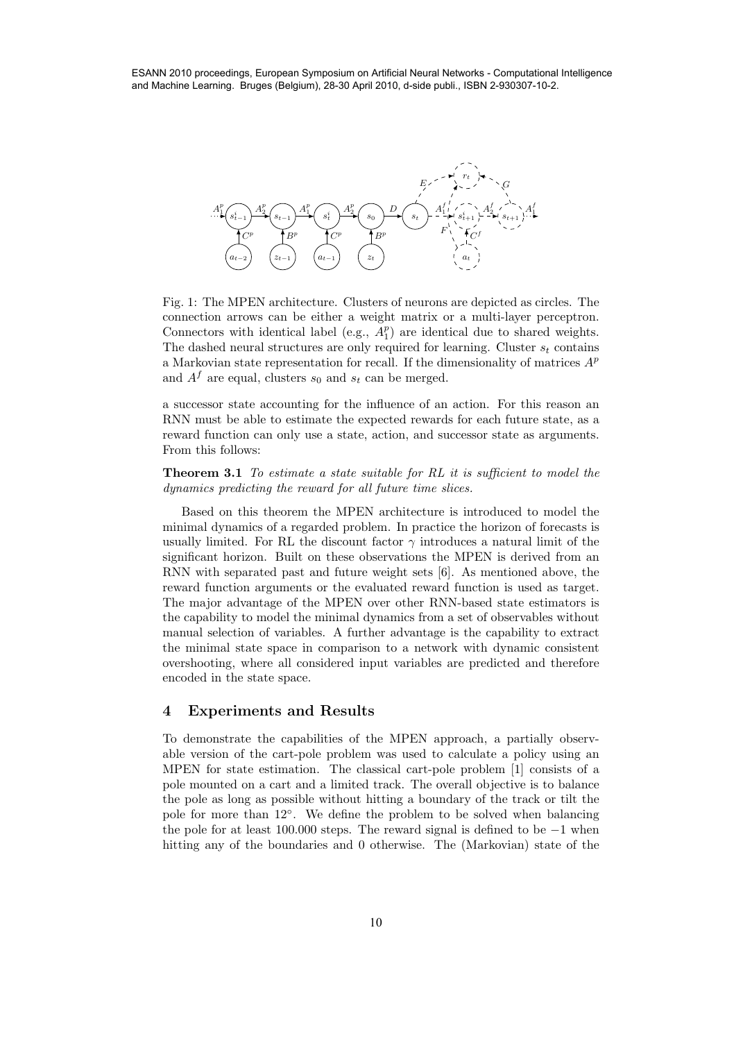and Machine Learning. Bruges (Belgium), 28-30 April 2010, d-side publi., ISBN 2-930307-10-2.



Fig. 1: The MPEN architecture. Clusters of neurons are depicted as circles. The connection arrows can be either a weight matrix or a multi-layer perceptron. Connectors with identical label (e.g.,  $A_1^p$ ) are identical due to shared weights.<br>The dashed neural structures are only required for learning. Cluster s, contains The dashed neural structures are only required for learning. Cluster  $s_t$  contains a Markovian state representation for recall. If the dimensionality of matrices A*<sup>p</sup>* and  $A^f$  are equal, clusters  $s_0$  and  $s_t$  can be merged.

a successor state accounting for the influence of an action. For this reason an RNN must be able to estimate the expected rewards for each future state, as a reward function can only use a state, action, and successor state as arguments. From this follows:

**Theorem 3.1** *To estimate a state suitable for RL it is sufficient to model the dynamics predicting the reward for all future time slices.*

Based on this theorem the MPEN architecture is introduced to model the minimal dynamics of a regarded problem. In practice the horizon of forecasts is usually limited. For RL the discount factor  $\gamma$  introduces a natural limit of the significant horizon. Built on these observations the MPEN is derived from an RNN with separated past and future weight sets [6]. As mentioned above, the reward function arguments or the evaluated reward function is used as target. The major advantage of the MPEN over other RNN-based state estimators is the capability to model the minimal dynamics from a set of observables without manual selection of variables. A further advantage is the capability to extract the minimal state space in comparison to a network with dynamic consistent overshooting, where all considered input variables are predicted and therefore encoded in the state space. 1000 ESAN 2010 proceedings, European Symposium on Articles - Computational Intelligence<br>
10 Estate and the computation of the computation of the computation of the computation of the computation of the computational Cente

## **4 Experiments and Results**

To demonstrate the capabilities of the MPEN approach, a partially observable version of the cart-pole problem was used to calculate a policy using an MPEN for state estimation. The classical cart-pole problem [1] consists of a pole mounted on a cart and a limited track. The overall objective is to balance the pole as long as possible without hitting a boundary of the track or tilt the pole for more than 12◦. We define the problem to be solved when balancing the pole for at least 100.000 steps. The reward signal is defined to be  $-1$  when hitting any of the boundaries and 0 otherwise. The (Markovian) state of the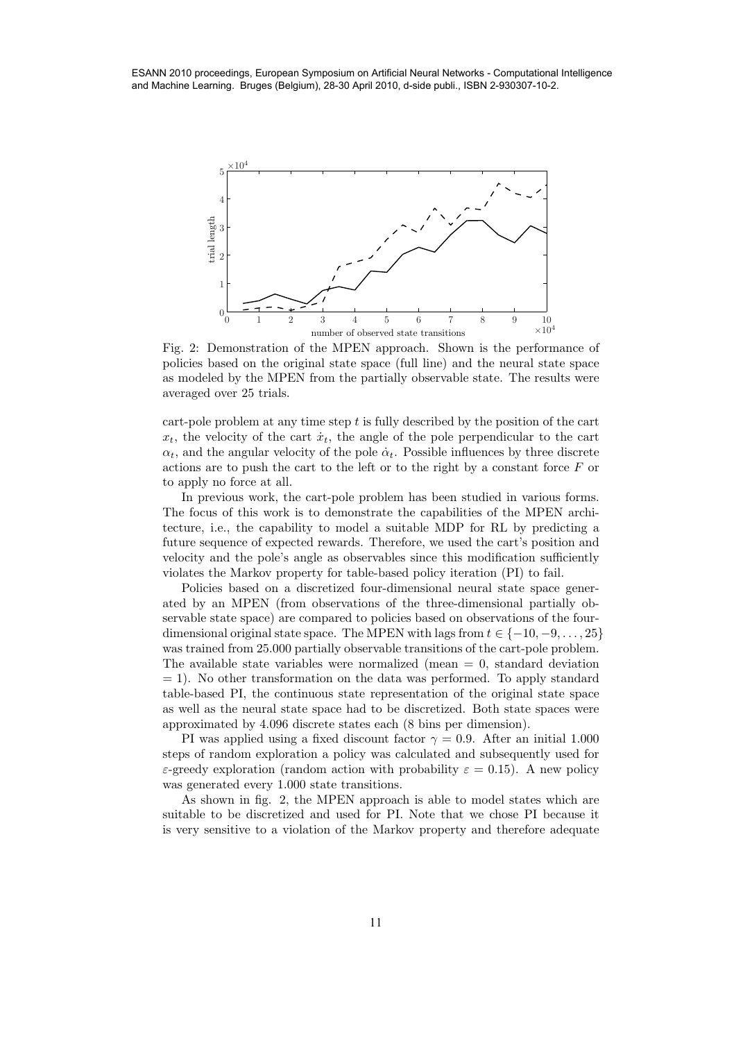and Machine Learning. Bruges (Belgium), 28-30 April 2010, d-side publi., ISBN 2-930307-10-2.



Fig. 2: Demonstration of the MPEN approach. Shown is the performance of policies based on the original state space (full line) and the neural state space as modeled by the MPEN from the partially observable state. The results were averaged over 25 trials.

cart-pole problem at any time step  $t$  is fully described by the position of the cart  $x_t$ , the velocity of the cart  $\dot{x}_t$ , the angle of the pole perpendicular to the cart  $\alpha_t$ , and the angular velocity of the pole  $\dot{\alpha}_t$ . Possible influences by three discrete actions are to push the cart to the left or to the right by a constant force  $F$  or to apply no force at all.

In previous work, the cart-pole problem has been studied in various forms. The focus of this work is to demonstrate the capabilities of the MPEN architecture, i.e., the capability to model a suitable MDP for RL by predicting a future sequence of expected rewards. Therefore, we used the cart's position and velocity and the pole's angle as observables since this modification sufficiently violates the Markov property for table-based policy iteration (PI) to fail.

Policies based on a discretized four-dimensional neural state space generated by an MPEN (from observations of the three-dimensional partially observable state space) are compared to policies based on observations of the fourdimensional original state space. The MPEN with lags from  $t \in \{-10, -9, \ldots, 25\}$ was trained from 25.000 partially observable transitions of the cart-pole problem. The available state variables were normalized (mean  $= 0$ , standard deviation  $= 1$ ). No other transformation on the data was performed. To apply standard table-based PI, the continuous state representation of the original state space as well as the neural state space had to be discretized. Both state spaces were approximated by 4.096 discrete states each (8 bins per dimension).

PI was applied using a fixed discount factor  $\gamma = 0.9$ . After an initial 1.000 steps of random exploration a policy was calculated and subsequently used for ε-greedy exploration (random action with probability  $ε = 0.15$ ). A new policy was generated every 1.000 state transitions.

As shown in fig. 2, the MPEN approach is able to model states which are suitable to be discretized and used for PI. Note that we chose PI because it is very sensitive to a violation of the Markov property and therefore adequate